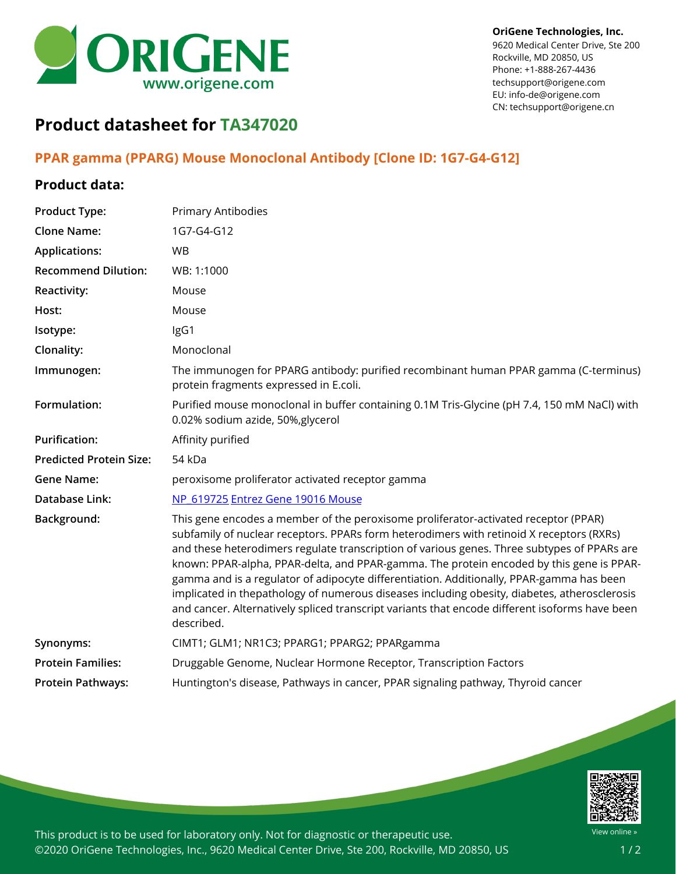

9620 Medical Center Drive, Ste 200 Rockville, MD 20850, US Phone: +1-888-267-4436 techsupport@origene.com EU: info-de@origene.com CN: techsupport@origene.cn

## **Product datasheet for TA347020**

## **PPAR gamma (PPARG) Mouse Monoclonal Antibody [Clone ID: 1G7-G4-G12]**

## **Product data:**

| <b>Product Type:</b>           | Primary Antibodies                                                                                                                                                                                                                                                                                                                                                                                                                                                                                                                                                                                                                                                                     |
|--------------------------------|----------------------------------------------------------------------------------------------------------------------------------------------------------------------------------------------------------------------------------------------------------------------------------------------------------------------------------------------------------------------------------------------------------------------------------------------------------------------------------------------------------------------------------------------------------------------------------------------------------------------------------------------------------------------------------------|
| <b>Clone Name:</b>             | 1G7-G4-G12                                                                                                                                                                                                                                                                                                                                                                                                                                                                                                                                                                                                                                                                             |
| <b>Applications:</b>           | <b>WB</b>                                                                                                                                                                                                                                                                                                                                                                                                                                                                                                                                                                                                                                                                              |
| <b>Recommend Dilution:</b>     | WB: 1:1000                                                                                                                                                                                                                                                                                                                                                                                                                                                                                                                                                                                                                                                                             |
| Reactivity:                    | Mouse                                                                                                                                                                                                                                                                                                                                                                                                                                                                                                                                                                                                                                                                                  |
| Host:                          | Mouse                                                                                                                                                                                                                                                                                                                                                                                                                                                                                                                                                                                                                                                                                  |
| Isotype:                       | IgG1                                                                                                                                                                                                                                                                                                                                                                                                                                                                                                                                                                                                                                                                                   |
| Clonality:                     | Monoclonal                                                                                                                                                                                                                                                                                                                                                                                                                                                                                                                                                                                                                                                                             |
| Immunogen:                     | The immunogen for PPARG antibody: purified recombinant human PPAR gamma (C-terminus)<br>protein fragments expressed in E.coli.                                                                                                                                                                                                                                                                                                                                                                                                                                                                                                                                                         |
| Formulation:                   | Purified mouse monoclonal in buffer containing 0.1M Tris-Glycine (pH 7.4, 150 mM NaCl) with<br>0.02% sodium azide, 50%, glycerol                                                                                                                                                                                                                                                                                                                                                                                                                                                                                                                                                       |
| <b>Purification:</b>           | Affinity purified                                                                                                                                                                                                                                                                                                                                                                                                                                                                                                                                                                                                                                                                      |
| <b>Predicted Protein Size:</b> | 54 kDa                                                                                                                                                                                                                                                                                                                                                                                                                                                                                                                                                                                                                                                                                 |
| <b>Gene Name:</b>              | peroxisome proliferator activated receptor gamma                                                                                                                                                                                                                                                                                                                                                                                                                                                                                                                                                                                                                                       |
| <b>Database Link:</b>          | NP 619725 Entrez Gene 19016 Mouse                                                                                                                                                                                                                                                                                                                                                                                                                                                                                                                                                                                                                                                      |
| Background:                    | This gene encodes a member of the peroxisome proliferator-activated receptor (PPAR)<br>subfamily of nuclear receptors. PPARs form heterodimers with retinoid X receptors (RXRs)<br>and these heterodimers regulate transcription of various genes. Three subtypes of PPARs are<br>known: PPAR-alpha, PPAR-delta, and PPAR-gamma. The protein encoded by this gene is PPAR-<br>gamma and is a regulator of adipocyte differentiation. Additionally, PPAR-gamma has been<br>implicated in thepathology of numerous diseases including obesity, diabetes, atherosclerosis<br>and cancer. Alternatively spliced transcript variants that encode different isoforms have been<br>described. |
| Synonyms:                      | CIMT1; GLM1; NR1C3; PPARG1; PPARG2; PPARgamma                                                                                                                                                                                                                                                                                                                                                                                                                                                                                                                                                                                                                                          |
| <b>Protein Families:</b>       | Druggable Genome, Nuclear Hormone Receptor, Transcription Factors                                                                                                                                                                                                                                                                                                                                                                                                                                                                                                                                                                                                                      |
| <b>Protein Pathways:</b>       | Huntington's disease, Pathways in cancer, PPAR signaling pathway, Thyroid cancer                                                                                                                                                                                                                                                                                                                                                                                                                                                                                                                                                                                                       |



This product is to be used for laboratory only. Not for diagnostic or therapeutic use. ©2020 OriGene Technologies, Inc., 9620 Medical Center Drive, Ste 200, Rockville, MD 20850, US